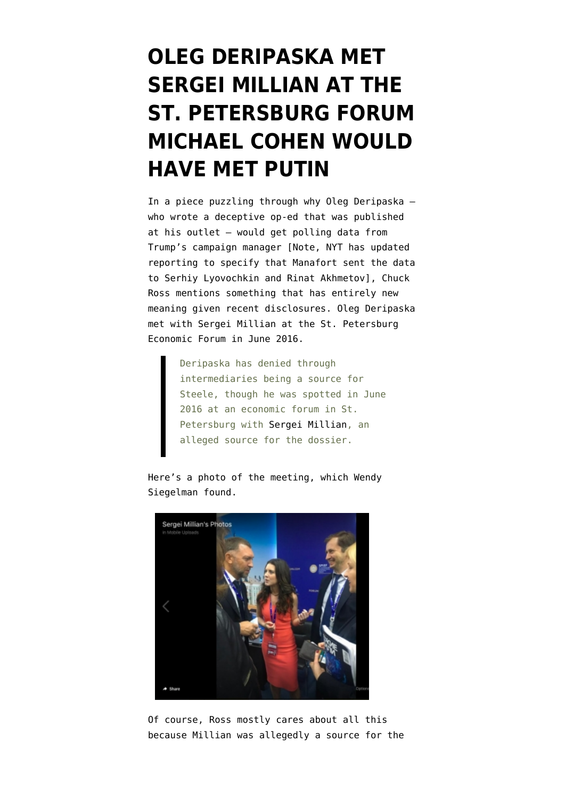## **[OLEG DERIPASKA MET](https://www.emptywheel.net/2019/01/09/oleg-deripaska-met-sergei-millian-at-the-st-petersburg-forum-michael-cohen-would-have-met-putin/) [SERGEI MILLIAN AT THE](https://www.emptywheel.net/2019/01/09/oleg-deripaska-met-sergei-millian-at-the-st-petersburg-forum-michael-cohen-would-have-met-putin/) [ST. PETERSBURG FORUM](https://www.emptywheel.net/2019/01/09/oleg-deripaska-met-sergei-millian-at-the-st-petersburg-forum-michael-cohen-would-have-met-putin/) [MICHAEL COHEN WOULD](https://www.emptywheel.net/2019/01/09/oleg-deripaska-met-sergei-millian-at-the-st-petersburg-forum-michael-cohen-would-have-met-putin/) [HAVE MET PUTIN](https://www.emptywheel.net/2019/01/09/oleg-deripaska-met-sergei-millian-at-the-st-petersburg-forum-michael-cohen-would-have-met-putin/)**

In a [piece](https://dailycaller.com/2019/01/09/manafort-oleg-deripaska-polling-data/) puzzling through why Oleg Deripaska who wrote [a deceptive op-ed](https://dailycaller.com/2018/03/08/the-ever-changing-russia-narrative-in-american-politics-is-cynically-false-public-manipulation/) that was published at his outlet — would get polling data from Trump's campaign manager [Note, NYT has updated reporting to specify that Manafort sent the data to Serhiy Lyovochkin and Rinat Akhmetov], Chuck Ross mentions something that has entirely new meaning given recent disclosures. Oleg Deripaska met with Sergei Millian at the St. Petersburg Economic Forum in June 2016.

> Deripaska has denied through intermediaries being a source for Steele, though he was spotted in June 2016 at an economic forum in St. Petersburg with [Sergei Millian,](https://dailycaller.com/2017/03/17/photos-trump-dossier-source-met-with-kremlin-crony-at-russian-expo/) an alleged source for the dossier.

Here's a [photo](https://twitter.com/wendysiegelman/status/882018852430913537) of the meeting, which Wendy Siegelman found.



Of course, Ross mostly cares about all this because Millian was allegedly a source for the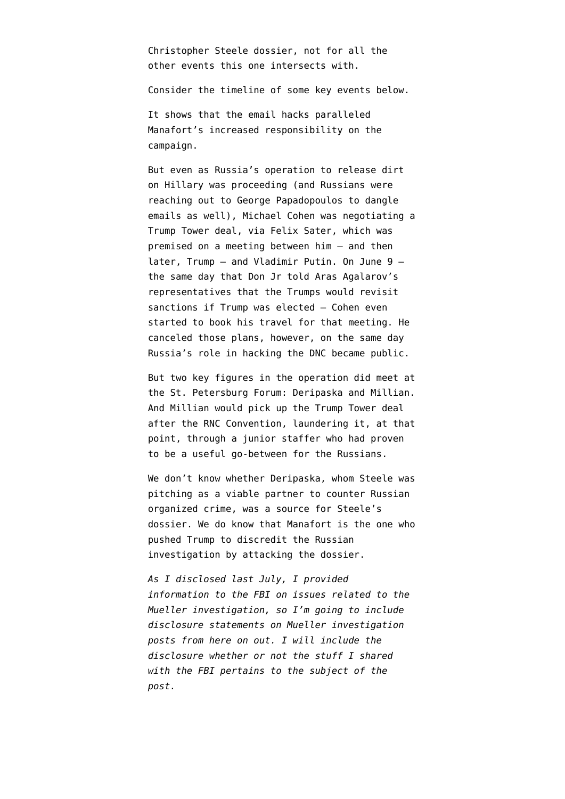Christopher Steele dossier, not for all the other events this one intersects with.

Consider the timeline of some key events below.

It shows that the email hacks paralleled Manafort's increased responsibility on the campaign.

But even as Russia's operation to release dirt on Hillary was proceeding (and Russians were reaching out to George Papadopoulos to dangle emails as well), Michael Cohen was negotiating a Trump Tower deal, via Felix Sater, which was premised on a meeting between him — and then later, Trump — and Vladimir Putin. On June 9 the same day that Don Jr told Aras Agalarov's representatives that the Trumps would revisit sanctions if Trump was elected — Cohen even started to book his travel for that meeting. He canceled those plans, however, on the same day Russia's role in hacking the DNC became public.

But two key figures in the operation did meet at the St. Petersburg Forum: Deripaska and Millian. And Millian would pick up the Trump Tower deal after the RNC Convention, laundering it, at that point, through a junior staffer who had proven to be a useful go-between for the Russians.

We don't know whether Deripaska, whom Steele was pitching as a viable partner to counter Russian organized crime, was a source for Steele's dossier. We do know that Manafort is the one who pushed Trump to discredit the Russian investigation by attacking the dossier.

*As I disclosed last July, I [provided](https://www.emptywheel.net/2018/07/03/putting-a-face-mine-to-the-risks-posed-by-gop-games-on-mueller-investigation/) [information](https://www.emptywheel.net/2018/07/03/putting-a-face-mine-to-the-risks-posed-by-gop-games-on-mueller-investigation/) to the FBI on issues related to the Mueller investigation, so I'm going to include disclosure statements on Mueller investigation posts from here on out. I will include the disclosure whether or not the stuff I shared with the FBI pertains to the subject of the post.*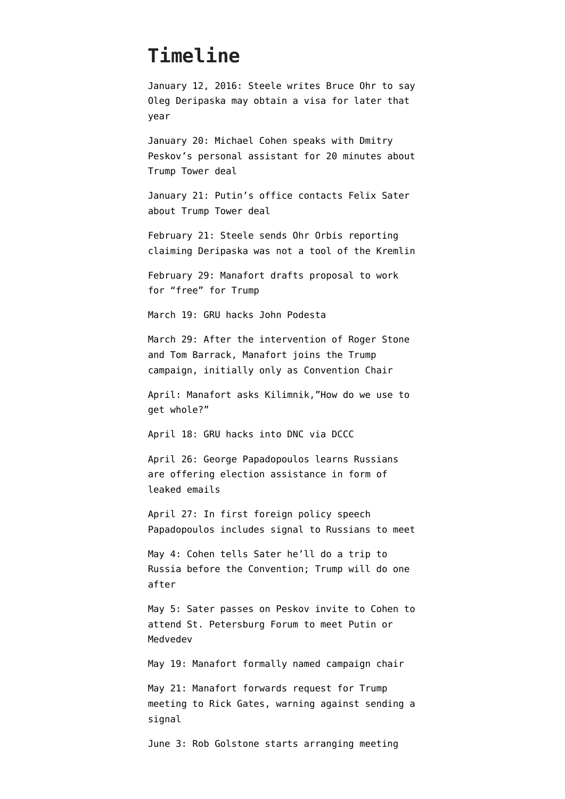## **Timeline**

January 12, 2016: Steele [writes](https://www.washingtonexaminer.com/news/emails-show-2016-links-among-steele-ohr-simpson-with-russian-oligarch-in-background) Bruce Ohr to say Oleg Deripaska may obtain a visa for later that year

January 20: Michael Cohen speaks with Dmitry Peskov's personal assistant for 20 minutes about Trump Tower deal

January 21: Putin's office contacts Felix Sater about Trump Tower deal

February 21: Steele sends Ohr Orbis reporting claiming Deripaska was not a tool of the Kremlin

February 29: Manafort [drafts](https://www.nytimes.com/2017/04/08/us/to-charm-trump-paul-manafort-sold-himself-as-an-affordable-outsider.html?module=inline) proposal to work for "free" for Trump

March 19: GRU [hacks](https://www.justice.gov/file/1080281/download) John Podesta

March 29: After the intervention of Roger Stone and Tom Barrack, Manafort joins the Trump campaign, initially only as Convention Chair

April: Manafort [asks](https://www.washingtonpost.com/politics/manafort-offered-to-give-russian-billionaire-private-briefings-on-2016-campaign/2017/09/20/399bba1a-9d48-11e7-8ea1-ed975285475e_story.html) Kilimnik,"How do we use to get whole?"

April 18: GRU hacks into DNC via DCCC

April 26: George Papadopoulos [learns](https://www.emptywheel.net/2017/11/01/the-false-statements-george-papadopoulos-made-about-dirt-were-designed-to-hide-whether-he-told-the-campaign-about-the-emails/) Russians are offering election assistance in form of leaked emails

April 27: In first foreign policy speech Papadopoulos [includes](https://www.emptywheel.net/2018/01/01/the-papadopoulos-delay/) signal to Russians to meet

May 4: Cohen [tells](https://www.justice.gov/file/1115596/download) Sater he'll do a trip to Russia before the Convention; Trump will do one after

May 5: Sater passes on Peskov invite to Cohen to attend St. Petersburg Forum to meet Putin or Medvedev

May 19: Manafort formally named campaign chair

May 21: Manafort forwards request for Trump meeting to Rick Gates, warning against sending a signal

June 3: Rob Golstone starts arranging meeting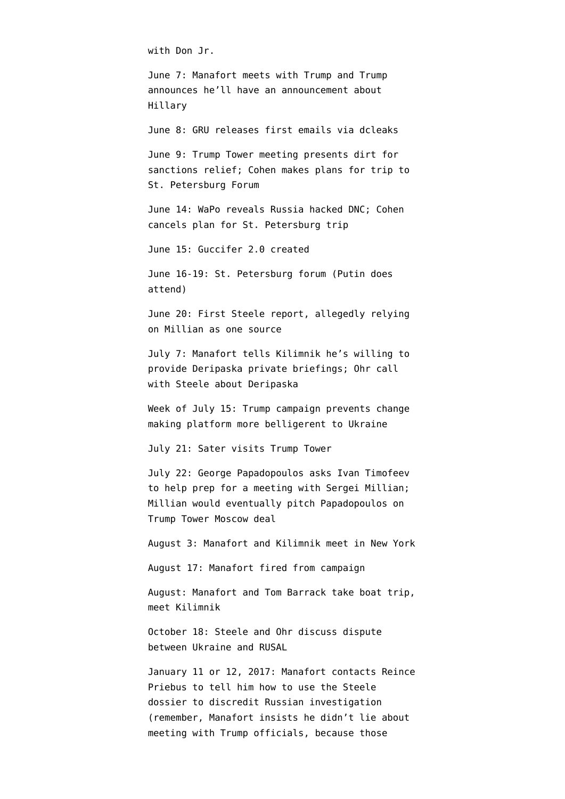with Don Jr.

June 7: Manafort meets with Trump and Trump announces he'll have an announcement about Hillary

June 8: GRU releases first emails via dcleaks

June 9: Trump Tower meeting presents dirt for sanctions relief; Cohen makes plans for trip to St. Petersburg Forum

June 14: WaPo reveals Russia hacked DNC; Cohen cancels plan for St. Petersburg trip

June 15: Guccifer 2.0 created

June 16-19: St. Petersburg forum (Putin does attend)

June 20: First Steele [report](https://www.documentcloud.org/documents/3259984-Trump-Intelligence-Allegations.html), allegedly relying on Millian as one source

July 7: Manafort tells Kilimnik he's willing to provide Deripaska private briefings; Ohr [call](https://www.emptywheel.net/2018/08/31/frothy-republicans-confuse-oleg-deripaska-and-donald-trump/) with Steele about Deripaska

Week of July 15: Trump campaign [prevents](https://www.washingtonpost.com/opinions/global-opinions/trump-campaign-guts-gops-anti-russia-stance-on-ukraine/2016/07/18/98adb3b0-4cf3-11e6-a7d8-13d06b37f256_story.html) change making platform more belligerent to Ukraine

July 21: Sater [visits](https://www.politico.com/story/2016/08/donald-trump-russia-felix-sater-227434) Trump Tower

July 22: George Papadopoulos asks Ivan Timofeev to help prep for [a meeting with Sergei Millian;](https://dailycaller.com/2018/06/06/george-papadopoulos-millian-suspicious/) Millian would eventually [pitch](https://www.nytimes.com/2017/12/30/us/politics/how-fbi-russia-investigation-began-george-papadopoulos.html) Papadopoulos on Trump Tower Moscow deal

August 3: Manafort and Kilimnik meet in New York

August 17: Manafort fired from campaign

August: Manafort and Tom Barrack take boat trip, meet Kilimnik

October 18: Steele and Ohr discuss dispute between Ukraine and RUSAL

January 11 or 12, 2017: Manafort [contacts](https://www.emptywheel.net/2017/10/27/did-manafort-prep-trump-for-the-dossier-lawfare/) Reince Priebus to tell him how to use the Steele dossier to discredit Russian investigation (remember, Manafort insists he didn't lie about meeting with Trump officials, because those